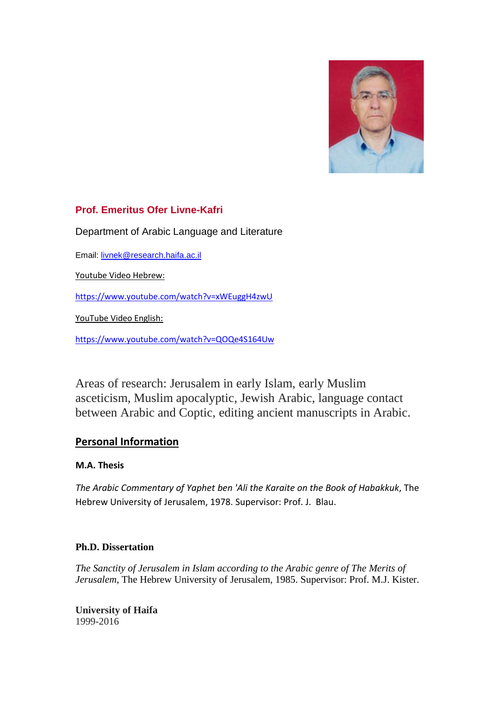

# **Prof. Emeritus Ofer Livne-Kafri**

[Department of Arabic Language and Literature](http://arabic.haifa.ac.il/)

Email: [livnek@research.haifa.ac.il](mailto:livnek@research.haifa.ac.il)

Youtube Video Hebrew:

<https://www.youtube.com/watch?v=xWEuggH4zwU>

YouTube Video English:

<https://www.youtube.com/watch?v=QOQe4S164Uw>

Areas of research: Jerusalem in early Islam, early Muslim asceticism, Muslim apocalyptic, Jewish Arabic, language contact between Arabic and Coptic, editing ancient manuscripts in Arabic.

# **Personal Information**

## **M.A. Thesis**

*The Arabic Commentary of Yaphet ben 'Ali the Karaite on the Book of Habakkuk*, The Hebrew University of Jerusalem, 1978. Supervisor: Prof. J. Blau.

## **Ph.D. Dissertation**

*The Sanctity of Jerusalem in Islam according to the Arabic genre of The Merits of Jerusalem,* The Hebrew University of Jerusalem, 1985. Supervisor: Prof. M.J. Kister.

**University of Haifa**  1999-2016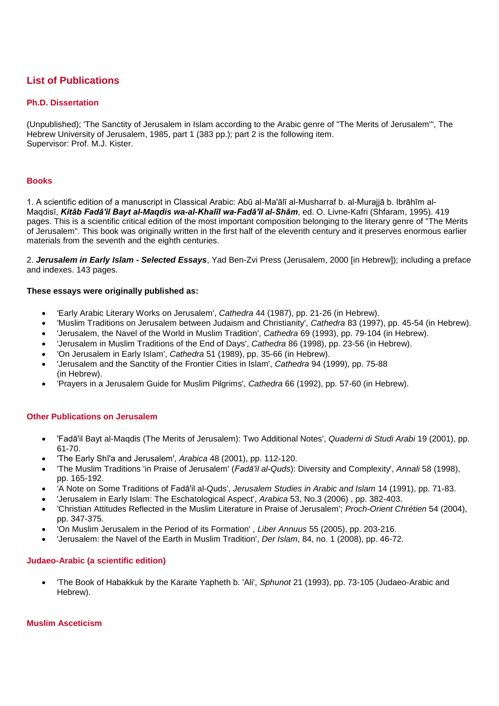# **List of Publications**

### **Ph.D. Dissertation**

(Unpublished); 'The Sanctity of Jerusalem in Islam according to the Arabic genre of "The Merits of Jerusalem"', The Hebrew University of Jerusalem, 1985, part 1 (383 pp.); part 2 is the following item. Supervisor: Prof. M.J. Kister.

#### **Books**

1. A scientific edition of a manuscript in Classical Arabic: Abū al-Ma'ālī al-Musharraf b. al-Murajjā b. Ibrāhīm al-Maqdisī, *Kitāb Fadā'il Bayt al-Maqdis wa-al-Khalīl wa-Fadā'il al-Shām*, ed. O. Livne-Kafri (Shfaram, 1995). 419 pages. This is a scientific critical edition of the most important composition belonging to the literary genre of "The Merits of Jerusalem". This book was originally written in the first half of the eleventh century and it preserves enormous earlier materials from the seventh and the eighth centuries.

2. *Jerusalem in Early Islam - Selected Essays*, Yad Ben-Zvi Press (Jerusalem, 2000 [in Hebrew]); including a preface and indexes. 143 pages.

#### **These essays were originally published as:**

- 'Early Arabic Literary Works on Jerusalem', *Cathedra* 44 (1987), pp. 21-26 (in Hebrew).
- 'Muslim Traditions on Jerusalem between Judaism and Christianity', *Cathedra* 83 (1997), pp. 45-54 (in Hebrew).
- 'Jerusalem, the Navel of the World in Muslim Tradition', *Cathedra* 69 (1993), pp. 79-104 (in Hebrew).
- 'Jerusalem in Muslim Traditions of the End of Days', *Cathedra* 86 (1998), pp. 23-56 (in Hebrew).
- 'On Jerusalem in Early Islam', *Cathedra* 51 (1989), pp. 35-66 (in Hebrew).
- 'Jerusalem and the Sanctity of the Frontier Cities in Islam', *Cathedra* 94 (1999), pp. 75-88 (in Hebrew).
- 'Prayers in a Jerusalem Guide for Muslim Pilgrims', *Cathedra* 66 (1992), pp. 57-60 (in Hebrew).

### **Other Publications on Jerusalem**

- 'Fadā'il Bayt al-Maqdis (The Merits of Jerusalem): Two Additional Notes', *Quaderni di Studi Arabi* 19 (2001), pp. 61-70.
- 'The Early Shī'a and Jerusalem', *Arabica* 48 (2001), pp. 112-120.
- 'The Muslim Traditions 'in Praise of Jerusalem' (*Fadā'il al-Quds*): Diversity and Complexity', *Annali* 58 (1998), pp. 165-192.
- 'A Note on Some Traditions of Fadā'il al-Quds', *Jerusalem Studies in Arabic and Islam* 14 (1991), pp. 71-83.
- 'Jerusalem in Early Islam: The Eschatological Aspect', *Arabica* 53, No.3 (2006) , pp. 382-403.
- 'Christian Attitudes Reflected in the Muslim Literature in Praise of Jerusalem'; *Proch-Orient Chrétien* 54 (2004), pp. 347-375.
- 'On Muslim Jerusalem in the Period of its Formation' , *Liber Annuus* 55 (2005), pp. 203-216.
- 'Jerusalem: the Navel of the Earth in Muslim Tradition', *Der Islam*, 84, no. 1 (2008), pp. 46-72.

#### **Judaeo-Arabic (a scientific edition)**

 'The Book of Habakkuk by the Karaite Yapheth b. 'Ali', *Sphunot* 21 (1993), pp. 73-105 (Judaeo-Arabic and Hebrew).

#### **Muslim Asceticism**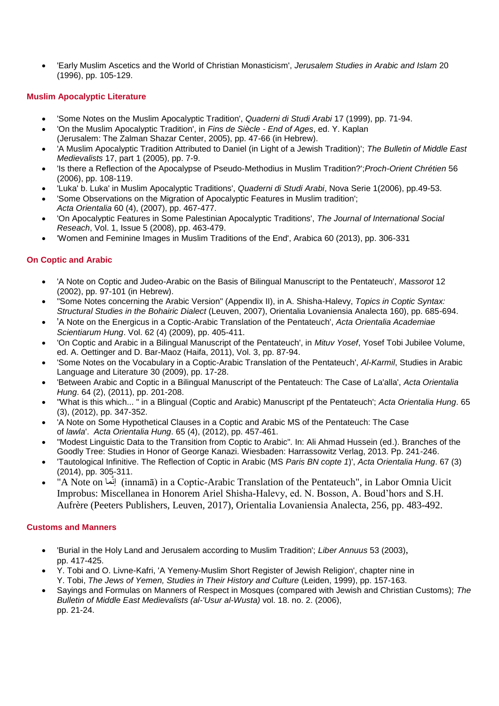'Early Muslim Ascetics and the World of Christian Monasticism', *Jerusalem Studies in Arabic and Islam* 20 (1996), pp. 105-129.

## **Muslim Apocalyptic Literature**

- 'Some Notes on the Muslim Apocalyptic Tradition', *Quaderni di Studi Arabi* 17 (1999), pp. 71-94.
- 'On the Muslim Apocalyptic Tradition', in *Fins de Siècle - End of Ages*, ed. Y. Kaplan
- (Jerusalem: The Zalman Shazar Center, 2005), pp. 47-66 (in Hebrew).
- 'A Muslim Apocalyptic Tradition Attributed to Daniel (in Light of a Jewish Tradition)'; *The Bulletin of Middle East Medievalists* 17, part 1 (2005), pp. 7-9.
- 'Is there a Reflection of the Apocalypse of Pseudo-Methodius in Muslim Tradition?';*Proch-Orient Chrétien* 56 (2006), pp. 108-119.
- 'Luka' b. Luka' in Muslim Apocalyptic Traditions', *Quaderni di Studi Arabi*, Nova Serie 1(2006), pp.49-53.
- 'Some Observations on the Migration of Apocalyptic Features in Muslim tradition'; *Acta Orientalia* 60 (4), (2007), pp. 467-477.
- 'On Apocalyptic Features in Some Palestinian Apocalyptic Traditions', *The Journal of International Social Reseach*, Vol. 1, Issue 5 (2008), pp. 463-479.
- 'Women and Feminine Images in Muslim Traditions of the End', Arabica 60 (2013), pp. 306-331

## **On Coptic and Arabic**

- 'A Note on Coptic and Judeo-Arabic on the Basis of Bilingual Manuscript to the Pentateuch', *Massorot* 12 (2002), pp. 97-101 (in Hebrew).
- "Some Notes concerning the Arabic Version" (Appendix II), in A. Shisha-Halevy, *Topics in Coptic Syntax: Structural Studies in the Bohairic Dialect* (Leuven, 2007), Orientalia Lovaniensia Analecta 160), pp. 685-694.
- 'A Note on the Energicus in a Coptic-Arabic Translation of the Pentateuch', *Acta Orientalia Academiae Scientiarum Hung*. Vol. 62 (4) (2009), pp. 405-411.
- 'On Coptic and Arabic in a Bilingual Manuscript of the Pentateuch', in *Mituv Yosef*, Yosef Tobi Jubilee Volume, ed. A. Oettinger and D. Bar-Maoz (Haifa, 2011), Vol. 3, pp. 87-94.
- 'Some Notes on the Vocabulary in a Coptic-Arabic Translation of the Pentateuch', *Al-Karmil*, Studies in Arabic Language and Literature 30 (2009), pp. 17-28.
- 'Between Arabic and Coptic in a Bilingual Manuscript of the Pentateuch: The Case of La'alla', *Acta Orientalia Hung*. 64 (2), (2011), pp. 201-208.
- "What is this which... " in a Blingual (Coptic and Arabic) Manuscript pf the Pentateuch'; *Acta Orientalia Hung*. 65 (3), (2012), pp. 347-352.
- 'A Note on Some Hypothetical Clauses in a Coptic and Arabic MS of the Pentateuch: The Case of *lawla*'. *Acta Orientalia Hung*. 65 (4), (2012), pp. 457-461.
- "Modest Linguistic Data to the Transition from Coptic to Arabic". In: Ali Ahmad Hussein (ed.). Branches of the Goodly Tree: Studies in Honor of George Kanazi. Wiesbaden: Harrassowitz Verlag, 2013. Pp. 241-246.
- 'Tautological Infinitive. The Reflection of Coptic in Arabic (MS *Paris BN copte 1*)', *Acta Orientalia Hung*. 67 (3) (2014), pp. 305-311.
- "A Note on ماَّإن) innamā) in a Coptic-Arabic Translation of the Pentateuch", in Labor Omnia Uicit Improbus: Miscellanea in Honorem Ariel Shisha-Halevy, ed. N. Bosson, A. Boud'hors and S.H. Aufrère (Peeters Publishers, Leuven, 2017), Orientalia Lovaniensia Analecta, 256, pp. 483-492.

## **Customs and Manners**

- 'Burial in the Holy Land and Jerusalem according to Muslim Tradition'; *Liber Annuus* 53 (2003), pp. 417-425.
- Y. Tobi and O. Livne-Kafri, 'A Yemeny-Muslim Short Register of Jewish Religion', chapter nine in Y. Tobi, *The Jews of Yemen, Studies in Their History and Culture* (Leiden, 1999), pp. 157-163.
- Sayings and Formulas on Manners of Respect in Mosques (compared with Jewish and Christian Customs); *The Bulletin of Middle East Medievalists (al-'Usur al-Wusta)* vol. 18. no. 2. (2006), pp. 21-24.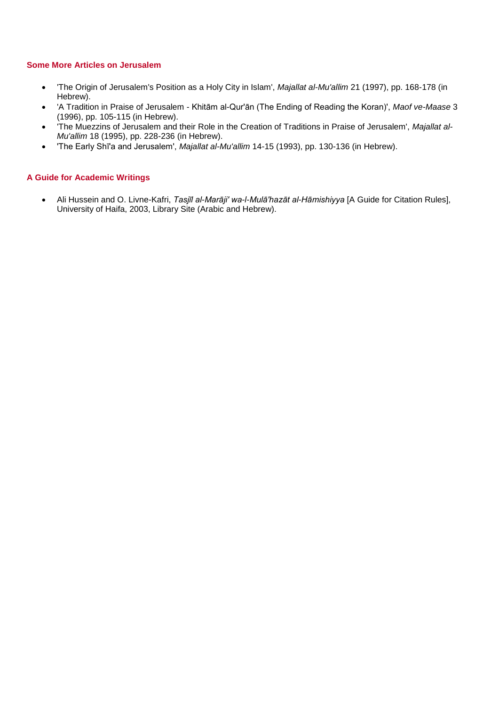### **Some More Articles on Jerusalem**

- 'The Origin of Jerusalem's Position as a Holy City in Islam', *Majallat al-Mu'allim* 21 (1997), pp. 168-178 (in Hebrew).
- 'A Tradition in Praise of Jerusalem Khitām al-Qur'ān (The Ending of Reading the Koran)', *Maof ve-Maase* 3 (1996), pp. 105-115 (in Hebrew).
- 'The Muezzins of Jerusalem and their Role in the Creation of Traditions in Praise of Jerusalem', *Majallat al-Mu'allim* 18 (1995), pp. 228-236 (in Hebrew).
- 'The Early Shī'a and Jerusalem', *Majallat al-Mu'allim* 14-15 (1993), pp. 130-136 (in Hebrew).

## **A Guide for Academic Writings**

 Ali Hussein and O. Livne-Kafri, *Tasjīl al-Marāji' wa-l-Mulā'hazāt al-Hāmishiyya* [A Guide for Citation Rules], University of Haifa, 2003, Library Site (Arabic and Hebrew).